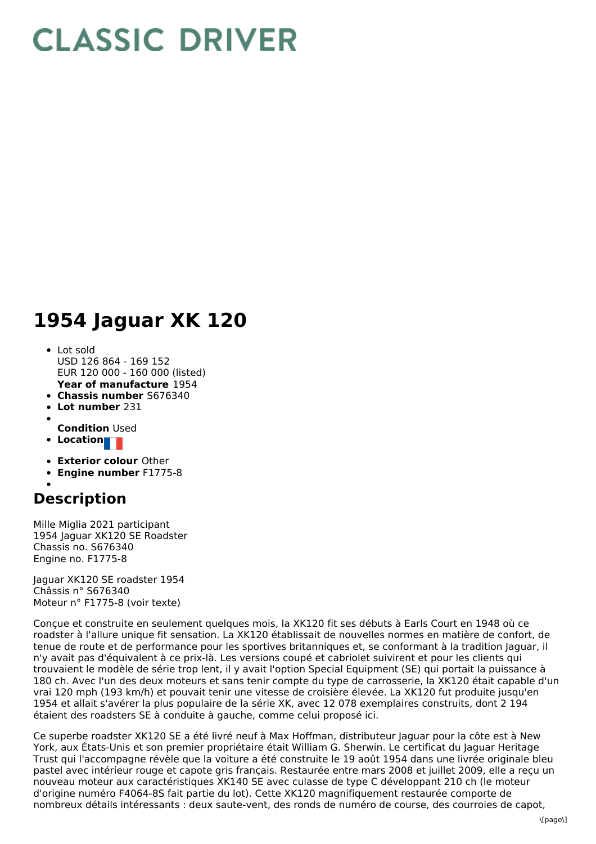## **CLASSIC DRIVER**

## **1954 Jaguar XK 120**

- **Year of manufacture** 1954 Lot sold USD 126 864 - 169 152 EUR 120 000 - 160 000 (listed)
- **Chassis number** S676340
- **Lot number** 231
- 
- **Condition** Used
- **Location**
- **Exterior colour** Other
- **Engine number** F1775-8

## **Description**

Mille Miglia 2021 participant 1954 Jaguar XK120 SE Roadster Chassis no. S676340 Engine no. F1775-8

Jaguar XK120 SE roadster 1954 Châssis n° S676340 Moteur n° F1775-8 (voir texte)

Conçue et construite en seulement quelques mois, la XK120 fit ses débuts à Earls Court en 1948 où ce roadster à l'allure unique fit sensation. La XK120 établissait de nouvelles normes en matière de confort, de tenue de route et de performance pour les sportives britanniques et, se conformant à la tradition Jaguar, il n'y avait pas d'équivalent à ce prix-là. Les versions coupé et cabriolet suivirent et pour les clients qui trouvaient le modèle de série trop lent, il y avait l'option Special Equipment (SE) qui portait la puissance à 180 ch. Avec l'un des deux moteurs et sans tenir compte du type de carrosserie, la XK120 était capable d'un vrai 120 mph (193 km/h) et pouvait tenir une vitesse de croisière élevée. La XK120 fut produite jusqu'en 1954 et allait s'avérer la plus populaire de la série XK, avec 12 078 exemplaires construits, dont 2 194 étaient des roadsters SE à conduite à gauche, comme celui proposé ici.

Ce superbe roadster XK120 SE a été livré neuf à Max Hoffman, distributeur Jaguar pour la côte est à New York, aux États-Unis et son premier propriétaire était William G. Sherwin. Le certificat du Jaguar Heritage Trust qui l'accompagne révèle que la voiture a été construite le 19 août 1954 dans une livrée originale bleu pastel avec intérieur rouge et capote gris français. Restaurée entre mars 2008 et juillet 2009, elle a reçu un nouveau moteur aux caractéristiques XK140 SE avec culasse de type C développant 210 ch (le moteur d'origine numéro F4064-8S fait partie du lot). Cette XK120 magnifiquement restaurée comporte de nombreux détails intéressants : deux saute-vent, des ronds de numéro de course, des courroies de capot,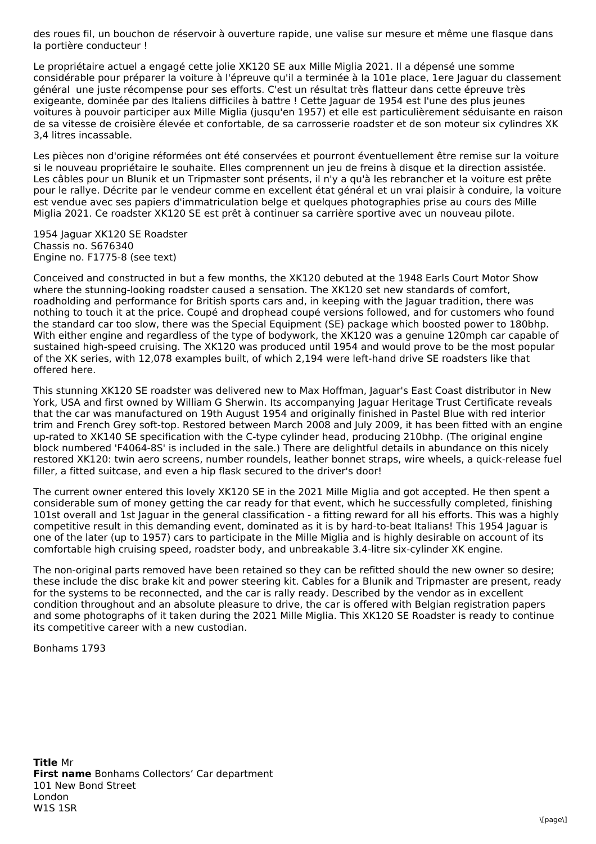des roues fil, un bouchon de réservoir à ouverture rapide, une valise sur mesure et même une flasque dans la portière conducteur !

Le propriétaire actuel a engagé cette jolie XK120 SE aux Mille Miglia 2021. Il a dépensé une somme considérable pour préparer la voiture à l'épreuve qu'il a terminée à la 101e place, 1ere Jaguar du classement général une juste récompense pour ses efforts. C'est un résultat très flatteur dans cette épreuve très exigeante, dominée par des Italiens difficiles à battre ! Cette Jaguar de 1954 est l'une des plus jeunes voitures à pouvoir participer aux Mille Miglia (jusqu'en 1957) et elle est particulièrement séduisante en raison de sa vitesse de croisière élevée et confortable, de sa carrosserie roadster et de son moteur six cylindres XK 3,4 litres incassable.

Les pièces non d'origine réformées ont été conservées et pourront éventuellement être remise sur la voiture si le nouveau propriétaire le souhaite. Elles comprennent un jeu de freins à disque et la direction assistée. Les câbles pour un Blunik et un Tripmaster sont présents, il n'y a qu'à les rebrancher et la voiture est prête pour le rallye. Décrite par le vendeur comme en excellent état général et un vrai plaisir à conduire, la voiture est vendue avec ses papiers d'immatriculation belge et quelques photographies prise au cours des Mille Miglia 2021. Ce roadster XK120 SE est prêt à continuer sa carrière sportive avec un nouveau pilote.

1954 Jaguar XK120 SE Roadster Chassis no. S676340 Engine no. F1775-8 (see text)

Conceived and constructed in but a few months, the XK120 debuted at the 1948 Earls Court Motor Show where the stunning-looking roadster caused a sensation. The XK120 set new standards of comfort, roadholding and performance for British sports cars and, in keeping with the Jaguar tradition, there was nothing to touch it at the price. Coupé and drophead coupé versions followed, and for customers who found the standard car too slow, there was the Special Equipment (SE) package which boosted power to 180bhp. With either engine and regardless of the type of bodywork, the XK120 was a genuine 120mph car capable of sustained high-speed cruising. The XK120 was produced until 1954 and would prove to be the most popular of the XK series, with 12,078 examples built, of which 2,194 were left-hand drive SE roadsters like that offered here.

This stunning XK120 SE roadster was delivered new to Max Hoffman, Jaguar's East Coast distributor in New York, USA and first owned by William G Sherwin. Its accompanying Jaguar Heritage Trust Certificate reveals that the car was manufactured on 19th August 1954 and originally finished in Pastel Blue with red interior trim and French Grey soft-top. Restored between March 2008 and July 2009, it has been fitted with an engine up-rated to XK140 SE specification with the C-type cylinder head, producing 210bhp. (The original engine block numbered 'F4064-8S' is included in the sale.) There are delightful details in abundance on this nicely restored XK120: twin aero screens, number roundels, leather bonnet straps, wire wheels, a quick-release fuel filler, a fitted suitcase, and even a hip flask secured to the driver's door!

The current owner entered this lovely XK120 SE in the 2021 Mille Miglia and got accepted. He then spent a considerable sum of money getting the car ready for that event, which he successfully completed, finishing 101st overall and 1st Jaguar in the general classification - a fitting reward for all his efforts. This was a highly competitive result in this demanding event, dominated as it is by hard-to-beat Italians! This 1954 Jaguar is one of the later (up to 1957) cars to participate in the Mille Miglia and is highly desirable on account of its comfortable high cruising speed, roadster body, and unbreakable 3.4-litre six-cylinder XK engine.

The non-original parts removed have been retained so they can be refitted should the new owner so desire; these include the disc brake kit and power steering kit. Cables for a Blunik and Tripmaster are present, ready for the systems to be reconnected, and the car is rally ready. Described by the vendor as in excellent condition throughout and an absolute pleasure to drive, the car is offered with Belgian registration papers and some photographs of it taken during the 2021 Mille Miglia. This XK120 SE Roadster is ready to continue its competitive career with a new custodian.

Bonhams 1793

**Title** Mr **First name** Bonhams Collectors' Car department 101 New Bond Street London W1S 1SR